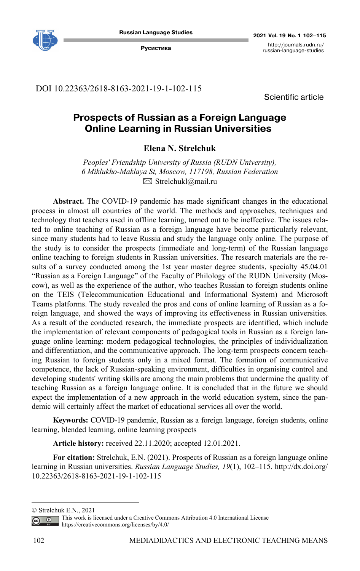

DOI 10.22363/2618-8163-2021-19-1-102-115

Scientific article

# **Prospects of Russian as a Foreign Language Online Learning in Russian Universities**

**Elena N. Strelchuk** 

*Peoples' Friendship University of Russia (RUDN University), 6 Miklukho-Maklaya St, Moscow, 117198, Russian Federation*   $\boxtimes$  Strelchukl@mail.ru

**Abstract.** The COVID-19 pandemic has made significant changes in the educational process in almost all countries of the world. The methods and approaches, techniques and technology that teachers used in offline learning, turned out to be ineffective. The issues related to online teaching of Russian as a foreign language have become particularly relevant, since many students had to leave Russia and study the language only online. The purpose of the study is to consider the prospects (immediate and long-term) of the Russian language online teaching to foreign students in Russian universities. The research materials are the results of a survey conducted among the 1st year master degree students, specialty 45.04.01 "Russian as a Foreign Language" of the Faculty of Philology of the RUDN University (Moscow), as well as the experience of the author, who teaches Russian to foreign students online on the TEIS (Telecommunication Educational and Informational System) and Microsoft Teams platforms. The study revealed the pros and cons of online learning of Russian as a foreign language, and showed the ways of improving its effectiveness in Russian universities. As a result of the conducted research, the immediate prospects are identified, which include the implementation of relevant components of pedagogical tools in Russian as a foreign language online learning: modern pedagogical technologies, the principles of individualization and differentiation, and the communicative approach. The long-term prospects concern teaching Russian to foreign students only in a mixed format. The formation of communicative competence, the lack of Russian-speaking environment, difficulties in organising control and developing students' writing skills are among the main problems that undermine the quality of teaching Russian as a foreign language online. It is concluded that in the future we should expect the implementation of a new approach in the world education system, since the pandemic will certainly affect the market of educational services all over the world.

**Keywords:** COVID-19 pandemic, Russian as a foreign language, foreign students, online learning, blended learning, online learning prospects

**Article history:** received 22.11.2020; accepted 12.01.2021.

**For citation:** Strelchuk, E.N. (2021). Prospects of Russian as a foreign language online learning in Russian universities. *Russian Language Studies, 19*(1), 102–115. http://dx.doi.org/ 10.22363/2618-8163-2021-19-1-102-115

<sup>©</sup> Strelchuk E.N., 2021

This work is licensed under a Creative Commons Attribution 4.0 International License  $\overline{G}$ https://creativecommons.org/licenses/by/4.0/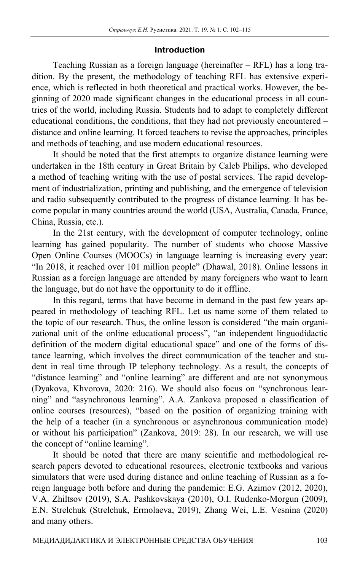## **Introduction**

Teaching Russian as a foreign language (hereinafter – RFL) has a long tradition. By the present, the methodology of teaching RFL has extensive experience, which is reflected in both theoretical and practical works. However, the beginning of 2020 made significant changes in the educational process in all countries of the world, including Russia. Students had to adapt to completely different educational conditions, the conditions, that they had not previously encountered – distance and online learning. It forced teachers to revise the approaches, principles and methods of teaching, and use modern educational resources.

It should be noted that the first attempts to organize distance learning were undertaken in the 18th century in Great Britain by Caleb Philips, who developed a method of teaching writing with the use of postal services. The rapid development of industrialization, printing and publishing, and the emergence of television and radio subsequently contributed to the progress of distance learning. It has become popular in many countries around the world (USA, Australia, Canada, France, China, Russia, etc.).

In the 21st century, with the development of computer technology, online learning has gained popularity. The number of students who choose Massive Open Online Courses (MOOCs) in language learning is increasing every year: "In 2018, it reached over 101 million people" (Dhawal, 2018). Online lessons in Russian as a foreign language are attended by many foreigners who want to learn the language, but do not have the opportunity to do it offline.

In this regard, terms that have become in demand in the past few years appeared in methodology of teaching RFL. Let us name some of them related to the topic of our research. Thus, the online lesson is considered "the main organizational unit of the online educational process", "an independent linguodidactic definition of the modern digital educational space" and one of the forms of distance learning, which involves the direct communication of the teacher and student in real time through IP telephony technology. As a result, the concepts of "distance learning" and "online learning" are different and are not synonymous (Dyakova, Khvorova, 2020: 216). We should also focus on "synchronous learning" and "asynchronous learning". A.A. Zankova proposed a classification of online courses (resources), "based on the position of organizing training with the help of a teacher (in a synchronous or asynchronous communication mode) or without his participation" (Zankova, 2019: 28). In our research, we will use the concept of "online learning".

It should be noted that there are many scientific and methodological research papers devoted to educational resources, electronic textbooks and various simulators that were used during distance and online teaching of Russian as a foreign language both before and during the pandemic: E.G. Azimov (2012, 2020), V.A. Zhiltsov (2019), S.A. Pashkovskaya (2010), O.I. Rudenko-Morgun (2009), E.N. Strelchuk (Strelchuk, Ermolaeva, 2019), Zhang Wei, L.E. Vesnina (2020) and many others.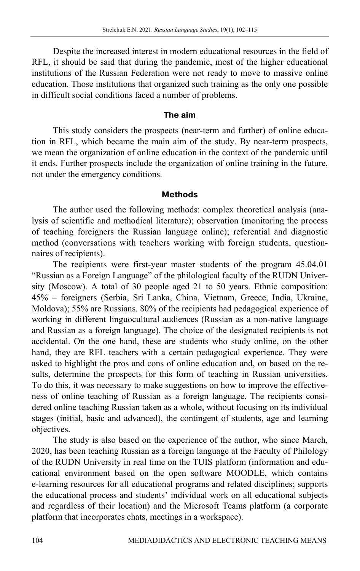Despite the increased interest in modern educational resources in the field of RFL, it should be said that during the pandemic, most of the higher educational institutions of the Russian Federation were not ready to move to massive online education. Those institutions that organized such training as the only one possible in difficult social conditions faced a number of problems.

## **The aim**

This study considers the prospects (near-term and further) of online education in RFL, which became the main aim of the study. By near-term prospects, we mean the organization of online education in the context of the pandemic until it ends. Further prospects include the organization of online training in the future, not under the emergency conditions.

#### **Methods**

The author used the following methods: complex theoretical analysis (analysis of scientific and methodical literature); observation (monitoring the process of teaching foreigners the Russian language online); referential and diagnostic method (conversations with teachers working with foreign students, questionnaires of recipients).

The recipients were first-year master students of the program 45.04.01 "Russian as a Foreign Language" of the philological faculty of the RUDN University (Moscow). A total of 30 people aged 21 to 50 years. Ethnic composition: 45% – foreigners (Serbia, Sri Lanka, China, Vietnam, Greece, India, Ukraine, Moldova); 55% are Russians. 80% of the recipients had pedagogical experience of working in different linguocultural audiences (Russian as a non-native language and Russian as a foreign language). The choice of the designated recipients is not accidental. On the one hand, these are students who study online, on the other hand, they are RFL teachers with a certain pedagogical experience. They were asked to highlight the pros and cons of online education and, on based on the results, determine the prospects for this form of teaching in Russian universities. To do this, it was necessary to make suggestions on how to improve the effectiveness of online teaching of Russian as a foreign language. The recipients considered online teaching Russian taken as a whole, without focusing on its individual stages (initial, basic and advanced), the contingent of students, age and learning objectives.

The study is also based on the experience of the author, who since March, 2020, has been teaching Russian as a foreign language at the Faculty of Philology of the RUDN University in real time on the TUIS platform (information and educational environment based on the open software MOODLE, which contains e-learning resources for all educational programs and related disciplines; supports the educational process and students' individual work on all educational subjects and regardless of their location) and the Microsoft Teams platform (a corporate platform that incorporates chats, meetings in a workspace).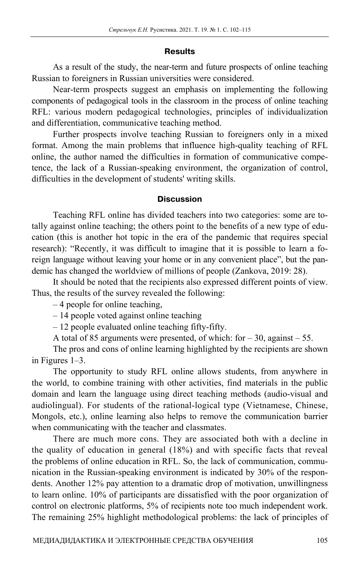## **Results**

As a result of the study, the near-term and future prospects of online teaching Russian to foreigners in Russian universities were considered.

Near-term prospects suggest an emphasis on implementing the following components of pedagogical tools in the classroom in the process of online teaching RFL: various modern pedagogical technologies, principles of individualization and differentiation, communicative teaching method.

Further prospects involve teaching Russian to foreigners only in a mixed format. Among the main problems that influence high-quality teaching of RFL online, the author named the difficulties in formation of communicative competence, the lack of a Russian-speaking environment, the organization of control, difficulties in the development of students' writing skills.

## **Discussion**

Teaching RFL online has divided teachers into two categories: some are totally against online teaching; the others point to the benefits of a new type of education (this is another hot topic in the era of the pandemic that requires special research): "Recently, it was difficult to imagine that it is possible to learn a foreign language without leaving your home or in any convenient place", but the pandemic has changed the worldview of millions of people (Zankova, 2019: 28).

It should be noted that the recipients also expressed different points of view. Thus, the results of the survey revealed the following:

– 4 people for online teaching,

– 14 people voted against online teaching

– 12 people evaluated online teaching fifty-fifty.

A total of 85 arguments were presented, of which: for  $-30$ , against  $-55$ .

The pros and cons of online learning highlighted by the recipients are shown in Figures 1–3.

The opportunity to study RFL online allows students, from anywhere in the world, to combine training with other activities, find materials in the public domain and learn the language using direct teaching methods (audio-visual and audiolingual). For students of the rational-logical type (Vietnamese, Chinese, Mongols, etc.), online learning also helps to remove the communication barrier when communicating with the teacher and classmates.

There are much more cons. They are associated both with a decline in the quality of education in general (18%) and with specific facts that reveal the problems of online education in RFL. So, the lack of communication, communication in the Russian-speaking environment is indicated by 30% of the respondents. Another 12% pay attention to a dramatic drop of motivation, unwillingness to learn online. 10% of participants are dissatisfied with the poor organization of control on electronic platforms, 5% of recipients note too much independent work. The remaining 25% highlight methodological problems: the lack of principles of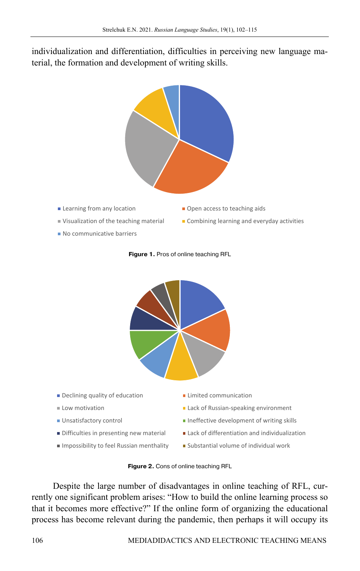individualization and differentiation, difficulties in perceiving new language material, the formation and development of writing skills.



- **Example 2** Learning from any location **COLOGY COLOGY COLOGY COLOGY COLOGY COLOGY COLOGY COLOGY COLOGY COLOGY COLOGY COLOGY COLOGY COLOGY COLOGY COLOGY COLOGY COLOGY COLOGY COLOGY CO**
- Visualization of the teaching material Combining learning and everyday activities
- 
- No communicative barriers





**Figure 1.** Pros of online teaching RFL

**Figure 2.** Cons of online teaching RFL

Despite the large number of disadvantages in online teaching of RFL, currently one significant problem arises: "How to build the online learning process so that it becomes more effective?" If the online form of organizing the educational process has become relevant during the pandemic, then perhaps it will occupy its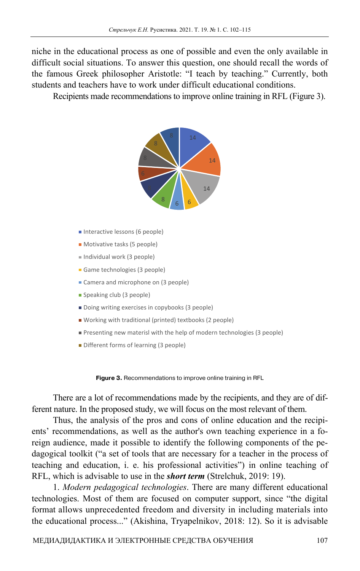niche in the educational process as one of possible and even the only available in difficult social situations. To answer this question, one should recall the words of the famous Greek philosopher Aristotle: "I teach by teaching." Currently, both students and teachers have to work under difficult educational conditions.

Recipients made recommendations to improve online training in RFL (Figure 3).



- Interactive lessons (6 people)
- **Motivative tasks (5 people)**
- Individual work (3 people)
- Game technologies (3 people)
- Camera and microphone on (3 people)
- Speaking club (3 people)
- Doing writing exercises in copybooks (3 people)
- Working with traditional (printed) textbooks (2 people)
- Presenting new materisl with the help of modern technologies (3 people)
- **Different forms of learning (3 people)**

**Figure 3.** Recommendations to improve online training in RFL

There are a lot of recommendations made by the recipients, and they are of different nature. In the proposed study, we will focus on the most relevant of them.

Thus, the analysis of the pros and cons of online education and the recipients' recommendations, as well as the author's own teaching experience in a foreign audience, made it possible to identify the following components of the pedagogical toolkit ("a set of tools that are necessary for a teacher in the process of teaching and education, i. e. his professional activities") in online teaching of RFL, which is advisable to use in the *short term* (Strelchuk, 2019: 19).

1. *Modern pedagogical technologies*. There are many different educational technologies. Most of them are focused on computer support, since "the digital format allows unprecedented freedom and diversity in including materials into the educational process..." (Akishina, Tryapelnikov, 2018: 12). So it is advisable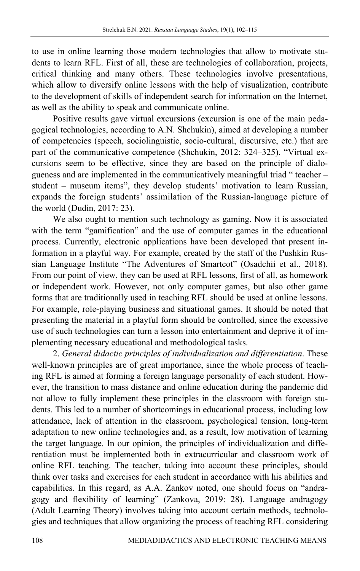to use in online learning those modern technologies that allow to motivate students to learn RFL. First of all, these are technologies of collaboration, projects, critical thinking and many others. These technologies involve presentations, which allow to diversify online lessons with the help of visualization, contribute to the development of skills of independent search for information on the Internet, as well as the ability to speak and communicate online.

Positive results gave virtual excursions (excursion is one of the main pedagogical technologies, according to A.N. Shchukin), aimed at developing a number of competencies (speech, sociolinguistic, socio-cultural, discursive, etc.) that are part of the communicative competence (Shchukin, 2012: 324–325). "Virtual excursions seem to be effective, since they are based on the principle of dialogueness and are implemented in the communicatively meaningful triad " teacher – student – museum items", they develop students' motivation to learn Russian, expands the foreign students' assimilation of the Russian-language picture of the world (Dudin, 2017: 23).

We also ought to mention such technology as gaming. Now it is associated with the term "gamification" and the use of computer games in the educational process. Currently, electronic applications have been developed that present information in a playful way. For example, created by the staff of the Pushkin Russian Language Institute "The Adventures of Smartcot" (Osadchii et al., 2018). From our point of view, they can be used at RFL lessons, first of all, as homework or independent work. However, not only computer games, but also other game forms that are traditionally used in teaching RFL should be used at online lessons. For example, role-playing business and situational games. It should be noted that presenting the material in a playful form should be controlled, since the excessive use of such technologies can turn a lesson into entertainment and deprive it of implementing necessary educational and methodological tasks.

2. *General didactic principles of individualization and differentiation*. These well-known principles are of great importance, since the whole process of teaching RFL is aimed at forming a foreign language personality of each student. However, the transition to mass distance and online education during the pandemic did not allow to fully implement these principles in the classroom with foreign students. This led to a number of shortcomings in educational process, including low attendance, lack of attention in the classroom, psychological tension, long-term adaptation to new online technologies and, as a result, low motivation of learning the target language. In our opinion, the principles of individualization and differentiation must be implemented both in extracurricular and classroom work of online RFL teaching. The teacher, taking into account these principles, should think over tasks and exercises for each student in accordance with his abilities and capabilities. In this regard, as A.A. Zankov noted, one should focus on "andragogy and flexibility of learning" (Zankova, 2019: 28). Language andragogy (Adult Learning Theory) involves taking into account certain methods, technologies and techniques that allow organizing the process of teaching RFL considering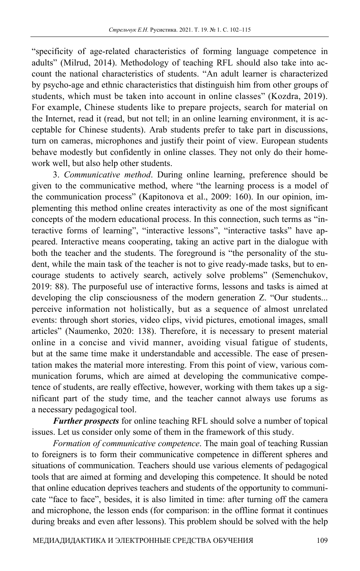"specificity of age-related characteristics of forming language competence in adults" (Milrud, 2014). Methodology of teaching RFL should also take into account the national characteristics of students. "An adult learner is characterized by psycho-age and ethnic characteristics that distinguish him from other groups of students, which must be taken into account in online classes" (Kozdra, 2019). For example, Chinese students like to prepare projects, search for material on the Internet, read it (read, but not tell; in an online learning environment, it is acceptable for Chinese students). Arab students prefer to take part in discussions, turn on cameras, microphones and justify their point of view. European students behave modestly but confidently in online classes. They not only do their homework well, but also help other students.

3. *Communicative method*. During online learning, preference should be given to the communicative method, where "the learning process is a model of the communication process" (Kapitonova et al., 2009: 160). In our opinion, implementing this method online creates interactivity as one of the most significant concepts of the modern educational process. In this connection, such terms as "interactive forms of learning", "interactive lessons", "interactive tasks" have appeared. Interactive means cooperating, taking an active part in the dialogue with both the teacher and the students. The foreground is "the personality of the student, while the main task of the teacher is not to give ready-made tasks, but to encourage students to actively search, actively solve problems" (Semenchukov, 2019: 88). The purposeful use of interactive forms, lessons and tasks is aimed at developing the clip consciousness of the modern generation Z. "Our students... perceive information not holistically, but as a sequence of almost unrelated events: through short stories, video clips, vivid pictures, emotional images, small articles" (Naumenko, 2020: 138). Therefore, it is necessary to present material online in a concise and vivid manner, avoiding visual fatigue of students, but at the same time make it understandable and accessible. The ease of presentation makes the material more interesting. From this point of view, various communication forums, which are aimed at developing the communicative competence of students, are really effective, however, working with them takes up a significant part of the study time, and the teacher cannot always use forums as a necessary pedagogical tool.

*Further prospects* for online teaching RFL should solve a number of topical issues. Let us consider only some of them in the framework of this study.

*Formation of communicative competence*. The main goal of teaching Russian to foreigners is to form their communicative competence in different spheres and situations of communication. Teachers should use various elements of pedagogical tools that are aimed at forming and developing this competence. It should be noted that online education deprives teachers and students of the opportunity to communicate "face to face", besides, it is also limited in time: after turning off the camera and microphone, the lesson ends (for comparison: in the offline format it continues during breaks and even after lessons). This problem should be solved with the help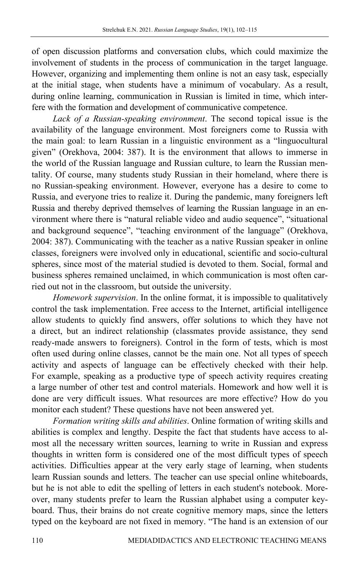of open discussion platforms and conversation clubs, which could maximize the involvement of students in the process of communication in the target language. However, organizing and implementing them online is not an easy task, especially at the initial stage, when students have a minimum of vocabulary. As a result, during online learning, communication in Russian is limited in time, which interfere with the formation and development of communicative competence.

*Lack of a Russian-speaking environment*. The second topical issue is the availability of the language environment. Most foreigners come to Russia with the main goal: to learn Russian in a linguistic environment as a "linguocultural given" (Orekhova, 2004: 387). It is the environment that allows to immerse in the world of the Russian language and Russian culture, to learn the Russian mentality. Of course, many students study Russian in their homeland, where there is no Russian-speaking environment. However, everyone has a desire to come to Russia, and everyone tries to realize it. During the pandemic, many foreigners left Russia and thereby deprived themselves of learning the Russian language in an environment where there is "natural reliable video and audio sequence", "situational and background sequence", "teaching environment of the language" (Orekhova, 2004: 387). Communicating with the teacher as a native Russian speaker in online classes, foreigners were involved only in educational, scientific and socio-cultural spheres, since most of the material studied is devoted to them. Social, formal and business spheres remained unclaimed, in which communication is most often carried out not in the classroom, but outside the university.

*Homework supervision*. In the online format, it is impossible to qualitatively control the task implementation. Free access to the Internet, artificial intelligence allow students to quickly find answers, offer solutions to which they have not a direct, but an indirect relationship (classmates provide assistance, they send ready-made answers to foreigners). Control in the form of tests, which is most often used during online classes, cannot be the main one. Not all types of speech activity and aspects of language can be effectively checked with their help. For example, speaking as a productive type of speech activity requires creating a large number of other test and control materials. Homework and how well it is done are very difficult issues. What resources are more effective? How do you monitor each student? These questions have not been answered yet.

*Formation writing skills and abilities*. Online formation of writing skills and abilities is complex and lengthy. Despite the fact that students have access to almost all the necessary written sources, learning to write in Russian and express thoughts in written form is considered one of the most difficult types of speech activities. Difficulties appear at the very early stage of learning, when students learn Russian sounds and letters. The teacher can use special online whiteboards, but he is not able to edit the spelling of letters in each student's notebook. Moreover, many students prefer to learn the Russian alphabet using a computer keyboard. Thus, their brains do not create cognitive memory maps, since the letters typed on the keyboard are not fixed in memory. "The hand is an extension of our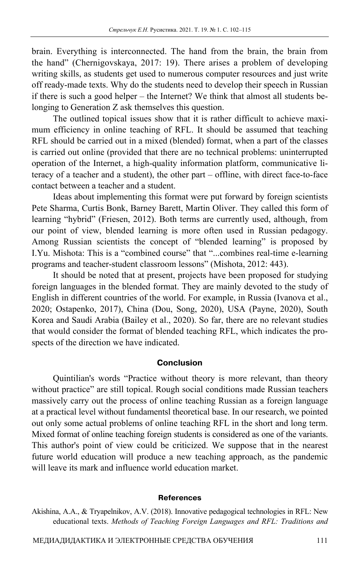brain. Everything is interconnected. The hand from the brain, the brain from the hand" (Chernigovskaya, 2017: 19). There arises a problem of developing writing skills, as students get used to numerous computer resources and just write off ready-made texts. Why do the students need to develop their speech in Russian if there is such a good helper – the Internet? We think that almost all students belonging to Generation Z ask themselves this question.

The outlined topical issues show that it is rather difficult to achieve maximum efficiency in online teaching of RFL. It should be assumed that teaching RFL should be carried out in a mixed (blended) format, when a part of the classes is carried out online (provided that there are no technical problems: uninterrupted operation of the Internet, a high-quality information platform, communicative literacy of a teacher and a student), the other part – offline, with direct face-to-face contact between a teacher and a student.

Ideas about implementing this format were put forward by foreign scientists Pete Sharma, Curtis Bonk, Barney Barett, Martin Oliver. They called this form of learning "hybrid" (Friesen, 2012). Both terms are currently used, although, from our point of view, blended learning is more often used in Russian pedagogy. Among Russian scientists the concept of "blended learning" is proposed by I.Yu. Mishota: This is a "combined course" that "...combines real-time e-learning programs and teacher-student classroom lessons" (Mishota, 2012: 443).

It should be noted that at present, projects have been proposed for studying foreign languages in the blended format. They are mainly devoted to the study of English in different countries of the world. For example, in Russia (Ivanova et al., 2020; Ostapenko, 2017), China (Dou, Song, 2020), USA (Payne, 2020), South Korea and Saudi Arabia (Bailey et al., 2020). So far, there are no relevant studies that would consider the format of blended teaching RFL, which indicates the prospects of the direction we have indicated.

### **Conclusion**

Quintilian's words "Practice without theory is more relevant, than theory without practice" are still topical. Rough social conditions made Russian teachers massively carry out the process of online teaching Russian as a foreign language at a practical level without fundamentsl theoretical base. In our research, we pointed out only some actual problems of online teaching RFL in the short and long term. Mixed format of online teaching foreign students is considered as one of the variants. This author's point of view could be criticized. We suppose that in the nearest future world education will produce a new teaching approach, as the pandemic will leave its mark and influence world education market.

#### **References**

Akishina, A.A., & Tryapelnikov, A.V. (2018). Innovative pedagogical technologies in RFL: New educational texts. *Methods of Teaching Foreign Languages and RFL: Traditions and*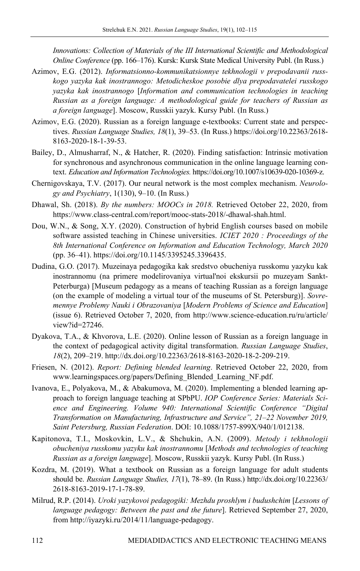*Innovations: Collection of Materials of the III International Scientific and Methodological Online Conference* (рр. 166–176). Kursk: Kursk State Medical University Publ. (In Russ.)

- Azimov, E.G. (2012). *Informatsionno-kommunikatsionnye tekhnologii v prepodavanii russkogo yazyka kak inostrannogo: Metodicheskoe posobie dlya prepodavatelei russkogo yazyka kak inostrannogo* [*Information and communication technologies in teaching Russian as a foreign language: A methodological guide for teachers of Russian as a foreign language*]. Moscow, Russkii yazyk. Kursy Publ. (In Russ.)
- Azimov, E.G. (2020). Russian as a foreign language e-textbooks: Current state and perspectives. *Russian Language Studies, 18*(1), 39–53. (In Russ.) https://doi.org/10.22363/2618- 8163-2020-18-1-39-53.
- Bailey, D., Almusharraf, N., & Hatcher, R. (2020). Finding satisfaction: Intrinsic motivation for synchronous and asynchronous communication in the online language learning context. *Education and Information Technologies.* https://doi.org/10.1007/s10639-020-10369-z.
- Chernigovskaya, T.V. (2017). Our neural network is the most complex mechanism. *Neurology and Psychiatry*, 1(130), 9–10. (In Russ.)
- Dhawal, Sh. (2018). *By the numbers: MOOCs in 2018.* Retrieved October 22, 2020, from https://www.class-central.com/report/mooc-stats-2018/-dhawal-shah.html.
- Dou, W.N., & Song, X.Y. (2020). Construction of hybrid English courses based on mobile software assisted teaching in Chinese universities. *ICIET 2020 : Proceedings of the 8th International Conference on Information and Education Technology, March 2020* (pp. 36–41). https://doi.org/10.1145/3395245.3396435.
- Dudina, G.O. (2017). Muzeinaya pedagogika kak sredstvo obucheniya russkomu yazyku kak inostrannomu (na primere modelirovaniya virtual'noi ekskursii po muzeyam Sankt-Peterburga) [Museum pedagogy as a means of teaching Russian as a foreign language (on the example of modeling a virtual tour of the museums of St. Petersburg)]. *Sovremennye Problemy Nauki i Obrazovaniya* [*Modern Problems of Science and Education*] (issue 6). Retrieved October 7, 2020, from http://www.science-education.ru/ru/article/ view?id=27246.
- Dyakova, T.A., & Khvorova, L.E. (2020). Online lesson of Russian as a foreign language in the context of pedagogical activity digital transformation. *Russian Language Studies*, *18*(2), 209–219. http://dx.doi.org/10.22363/2618-8163-2020-18-2-209-219.
- Friesen, N. (2012). *Report: Defining blended learning*. Retrieved October 22, 2020, from www.learningspaces.org/papers/Defining\_Blended\_Learning\_NF.pdf.
- Ivanova, E., Polyakova, M., & Abakumova, M. (2020). Implementing a blended learning approach to foreign language teaching at SPbPU. *IOP Conference Series: Materials Science and Engineering. Volume 940: International Scientific Conference "Digital Transformation on Manufacturing, Infrastructure and Service", 21–22 November 2019, Saint Petersburg, Russian Federation*. DOI: 10.1088/1757-899X/940/1/012138.
- Kapitonova, T.I., Moskovkin, L.V., & Shchukin, A.N. (2009). *Metody i tekhnologii obucheniya russkomu yazyku kak inostrannomu* [*Methods and technologies of teaching Russian as a foreign language*]. Moscow, Russkii yazyk. Kursy Publ. (In Russ.)
- Kozdra, M. (2019). What a textbook on Russian as a foreign language for adult students should be. *Russian Language Studies, 17*(1), 78–89. (In Russ.) http://dx.doi.org/10.22363/ 2618-8163-2019-17-1-78-89.
- Milrud, R.P. (2014). *Uroki yazykovoi pedagogiki: Mezhdu proshlym i budushchim* [*Lessons of language pedagogy: Between the past and the future*]. Retrieved September 27, 2020, from http://iyazyki.ru/2014/11/language-pedagogy.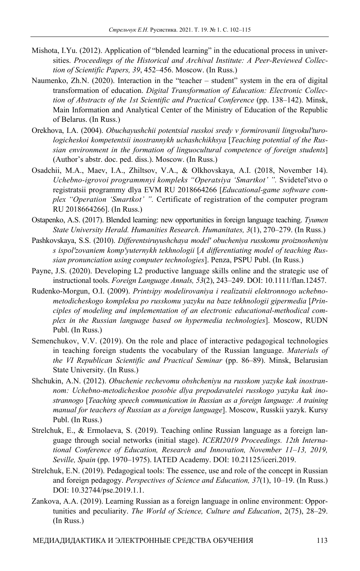- Mishota, I.Yu. (2012). Application of "blended learning" in the educational process in universities. *Proceedings of the Historical and Archival Institute: A Peer-Reviewed Collection of Scientific Papers, 39*, 452–456. Moscow. (In Russ.)
- Naumenko, Zh.N. (2020). Interaction in the "teacher student" system in the era of digital transformation of education. *Digital Transformation of Education: Electronic Collection of Abstracts of the 1st Scientific and Practical Conference* (pp. 138–142). Minsk, Main Information and Analytical Center of the Ministry of Education of the Republic of Belarus. (In Russ.)
- Orekhova, I.A. (2004). *Obuchayushchii potentsial russkoi sredy v formirovanii lingvokul'turologicheskoi kompetentsii inostrannykh uchashchikhsya* [*Teaching potential of the Russian environment in the formation of linguocultural competence of foreign students*] (Author's abstr. doc. ped. diss.). Moscow. (In Russ.)
- Osadchii, M.A., Maev, I.A., Zhiltsov, V.A., & Olkhovskaya, A.I. (2018, November 14). *Uchebno-igrovoi programmnyi kompleks "Operatsiya 'Smartkot' ".* Svidetel'stvo o registratsii programmy dlya EVM RU 2018664266 [*Educational-game software complex "Operation 'Smartkot' ".* Certificate of registration of the computer program RU 2018664266]. (In Russ.)
- Ostapenko, A.S. (2017). Blended learning: new opportunities in foreign language teaching. *Tyumen State University Herald. Humanities Research. Humanitates, 3*(1), 270–279. (In Russ.)
- Pashkovskaya, S.S. (2010). *Differentsiruyushchaya model' obucheniya russkomu proiznosheniyu s ispol'zovaniem komp'yuternykh tekhnologii* [*A differentiating model of teaching Russian pronunciation using computer technologies*]. Penza, PSPU Publ. (In Russ.)
- Payne, J.S. (2020). Developing L2 productive language skills online and the strategic use of instructional tools. *Foreign Language Annals, 53*(2), 243–249. DOI: 10.1111/flan.12457.
- Rudenko-Morgun, O.I. (2009). *Printsipy modelirovaniya i realizatsii elektronnogo uchebnometodicheskogo kompleksa po russkomu yazyku na baze tekhnologii gipermedia* [*Principles of modeling and implementation of an electronic educational-methodical complex in the Russian language based on hypermedia technologies*]. Moscow, RUDN Publ. (In Russ.)
- Semenchukov, V.V. (2019). On the role and place of interactive pedagogical technologies in teaching foreign students the vocabulary of the Russian language. *Materials of the VI Republican Scientific and Practical Seminar* (pp. 86–89). Minsk, Belarusian State University. (In Russ.)
- Shchukin, A.N. (2012). *Obuchenie rechevomu obshcheniyu na russkom yazyke kak inostrannom: Uchebno-metodicheskoe posobie dlya prepodavatelei russkogo yazyka kak inostrannogo* [*Teaching speech communication in Russian as a foreign language: A training manual for teachers of Russian as a foreign language*]. Moscow, Russkii yazyk. Kursy Publ. (In Russ.)
- Strelchuk, E., & Ermolaeva, S. (2019). Teaching online Russian language as a foreign language through social networks (initial stage). *ICERI2019 Proceedings. 12th International Conference of Education, Research and Innovation, November 11–13, 2019, Seville, Spain* (pp. 1970–1975). IATED Academy. DOI: 10.21125/iceri.2019.
- Strelchuk, E.N. (2019). Pedagogical tools: The essence, use and role of the concept in Russian and foreign pedagogy. *Perspectives of Science and Education, 37*(1), 10–19. (In Russ.) DOI: 10.32744/pse.2019.1.1.
- Zankova, A.A. (2019). Learning Russian as a foreign language in online environment: Opportunities and peculiarity. *The World of Science, Culture and Education*, 2(75), 28–29. (In Russ.)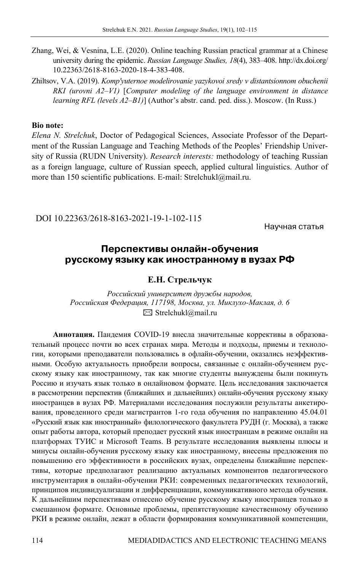Zhang, Wei, & Vesnina, L.E. (2020). Online teaching Russian practical grammar at a Chinese university during the epidemic. *Russian Language Studies, 18*(4), 383–408. http://dx.doi.org/ 10.22363/2618-8163-2020-18-4-383-408.

Zhiltsov, V.A. (2019). *Komp'yuternoe modelirovanie yazykovoi sredy v distantsionnom obuchenii RKI (urovni A2–V1)* [*Computer modeling of the language environment in distance learning RFL (levels A2–B1)*] (Author's abstr. cand. ped. diss.). Moscow. (In Russ.)

### **Bio note:**

*Elena N. Strelchuk*, Doctor of Pedagogical Sciences, Associate Professor of the Department of the Russian Language and Teaching Methods of the Peoples' Friendship University of Russia (RUDN University). *Research interests:* methodology of teaching Russian as a foreign language, culture of Russian speech, applied cultural linguistics. Author of more than 150 scientific publications. E-mail: Strelchukl@mail.ru.

DOI 10.22363/2618-8163-2021-19-1-102-115

Научная статья

## **Перспективы онлайнобучения русскому языку как иностранному в вузах РФ**

## **Е.Н. Стрельчук**

*Российский университет дружбы народов, Российская Федерация, 117198, Москва, ул. Миклухо-Маклая, д. 6*   $\boxtimes$  Strelchukl@mail.ru

**Аннотация.** Пандемия COVID-19 внесла значительные коррективы в образовательный процесс почти во всех странах мира. Методы и подходы, приемы и технологии, которыми преподаватели пользовались в офлайн-обучении, оказались неэффективными. Особую актуальность приобрели вопросы, связанные с онлайн-обучением русскому языку как иностранному, так как многие студенты вынуждены были покинуть Россию и изучать язык только в онлайновом формате. Цель исследования заключается в рассмотрении перспектив (ближайших и дальнейших) онлайн-обучения русскому языку иностранцев в вузах РФ. Материалами исследования послужили результаты анкетирования, проведенного среди магистрантов 1-го года обучения по направлению 45.04.01 «Русский язык как иностранный» филологического факультета РУДН (г. Москва), а также опыт работы автора, который преподает русский язык иностранцам в режиме онлайн на платформах ТУИС и Microsoft Teams. В результате исследования выявлены плюсы и минусы онлайн-обучения русскому языку как иностранному, внесены предложения по повышению его эффективности в российских вузах, определены ближайшие перспективы, которые предполагают реализацию актуальных компонентов педагогического инструментария в онлайн-обучении РКИ: современных педагогических технологий, принципов индивидуализации и дифференциации, коммуникативного метода обучения. К дальнейшим перспективам отнесено обучение русскому языку иностранцев только в смешанном формате. Основные проблемы, препятствующие качественному обучению РКИ в режиме онлайн, лежат в области формирования коммуникативной компетенции,